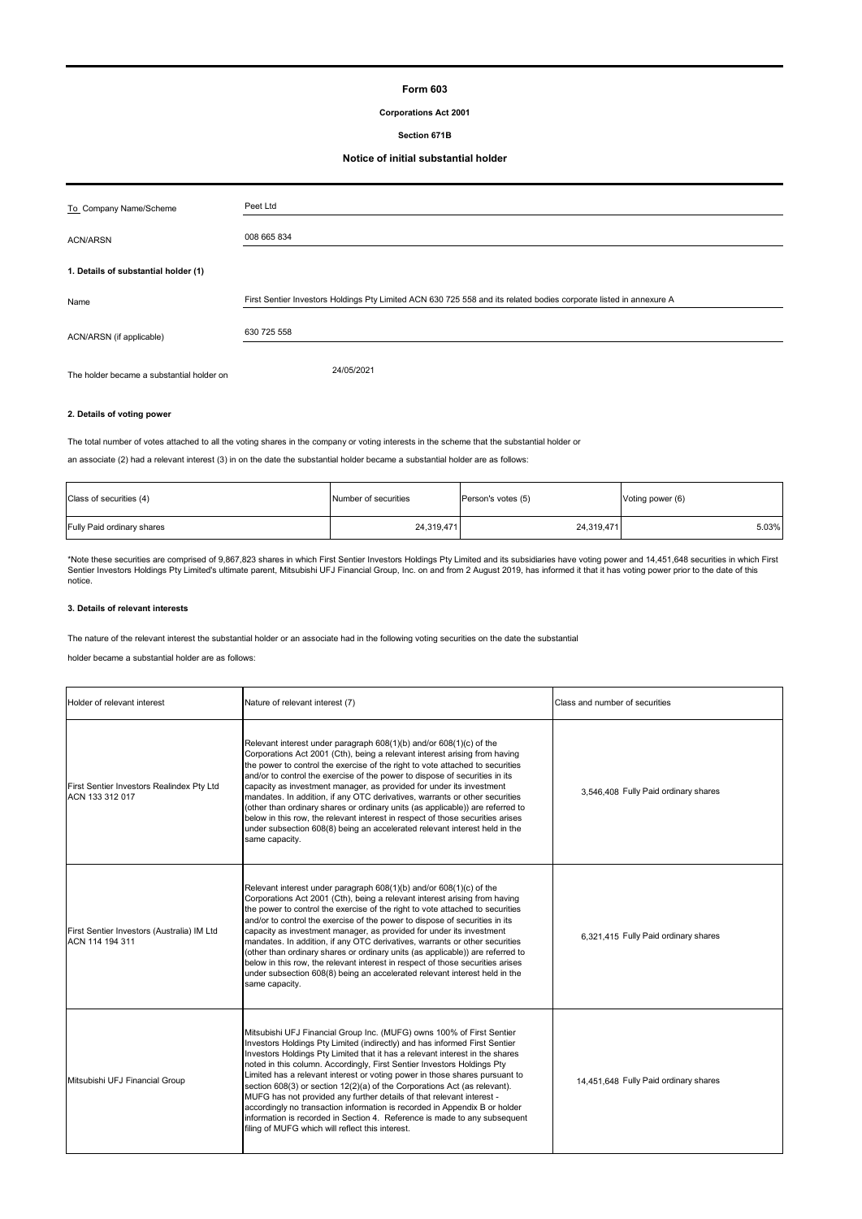## **Form 603**

## **Corporations Act 2001**

## **Section 671B**

#### **Notice of initial substantial holder**

| To Company Name/Scheme                    | Peet Ltd                                                                                                           |
|-------------------------------------------|--------------------------------------------------------------------------------------------------------------------|
| <b>ACN/ARSN</b>                           | 008 665 834                                                                                                        |
| 1. Details of substantial holder (1)      |                                                                                                                    |
| Name                                      | First Sentier Investors Holdings Pty Limited ACN 630 725 558 and its related bodies corporate listed in annexure A |
| ACN/ARSN (if applicable)                  | 630 725 558                                                                                                        |
| The holder became a substantial holder on | 24/05/2021                                                                                                         |

#### **2. Details of voting power**

The total number of votes attached to all the voting shares in the company or voting interests in the scheme that the substantial holder or

an associate (2) had a relevant interest (3) in on the date the substantial holder became a substantial holder are as follows:

| Class of securities (4)    | Number of securities | Person's votes (5) | Voting power (6) |
|----------------------------|----------------------|--------------------|------------------|
| Fully Paid ordinary shares | 24,319,471           | 24,319,471         | 5.03%            |

\*Note these securities are comprised of 9,867,823 shares in which First Sentier Investors Holdings Pty Limited and its subsidiaries have voting power and 14,451,648 securities in which First<br>Sentier Investors Holdings Pty

#### **3. Details of relevant interests**

The nature of the relevant interest the substantial holder or an associate had in the following voting securities on the date the substantial

holder became a substantial holder are as follows:

| Holder of relevant interest                                   | Nature of relevant interest (7)                                                                                                                                                                                                                                                                                                                                                                                                                                                                                                                                                                                                                                                                                                                                    | Class and number of securities        |
|---------------------------------------------------------------|--------------------------------------------------------------------------------------------------------------------------------------------------------------------------------------------------------------------------------------------------------------------------------------------------------------------------------------------------------------------------------------------------------------------------------------------------------------------------------------------------------------------------------------------------------------------------------------------------------------------------------------------------------------------------------------------------------------------------------------------------------------------|---------------------------------------|
| First Sentier Investors Realindex Pty Ltd<br>ACN 133 312 017  | Relevant interest under paragraph 608(1)(b) and/or 608(1)(c) of the<br>Corporations Act 2001 (Cth), being a relevant interest arising from having<br>the power to control the exercise of the right to vote attached to securities<br>and/or to control the exercise of the power to dispose of securities in its<br>capacity as investment manager, as provided for under its investment<br>mandates. In addition, if any OTC derivatives, warrants or other securities<br>(other than ordinary shares or ordinary units (as applicable)) are referred to<br>below in this row, the relevant interest in respect of those securities arises<br>under subsection 608(8) being an accelerated relevant interest held in the<br>same capacity.                       | 3,546,408 Fully Paid ordinary shares  |
| First Sentier Investors (Australia) IM Ltd<br>ACN 114 194 311 | Relevant interest under paragraph 608(1)(b) and/or 608(1)(c) of the<br>Corporations Act 2001 (Cth), being a relevant interest arising from having<br>the power to control the exercise of the right to vote attached to securities<br>and/or to control the exercise of the power to dispose of securities in its<br>capacity as investment manager, as provided for under its investment<br>mandates. In addition, if any OTC derivatives, warrants or other securities<br>(other than ordinary shares or ordinary units (as applicable)) are referred to<br>below in this row, the relevant interest in respect of those securities arises<br>under subsection 608(8) being an accelerated relevant interest held in the<br>same capacity.                       | 6.321.415 Fully Paid ordinary shares  |
| Mitsubishi UFJ Financial Group                                | Mitsubishi UFJ Financial Group Inc. (MUFG) owns 100% of First Sentier<br>Investors Holdings Pty Limited (indirectly) and has informed First Sentier<br>Investors Holdings Pty Limited that it has a relevant interest in the shares<br>noted in this column. Accordingly, First Sentier Investors Holdings Pty<br>Limited has a relevant interest or voting power in those shares pursuant to<br>section 608(3) or section 12(2)(a) of the Corporations Act (as relevant).<br>MUFG has not provided any further details of that relevant interest -<br>accordingly no transaction information is recorded in Appendix B or holder<br>information is recorded in Section 4. Reference is made to any subsequent<br>filing of MUFG which will reflect this interest. | 14,451,648 Fully Paid ordinary shares |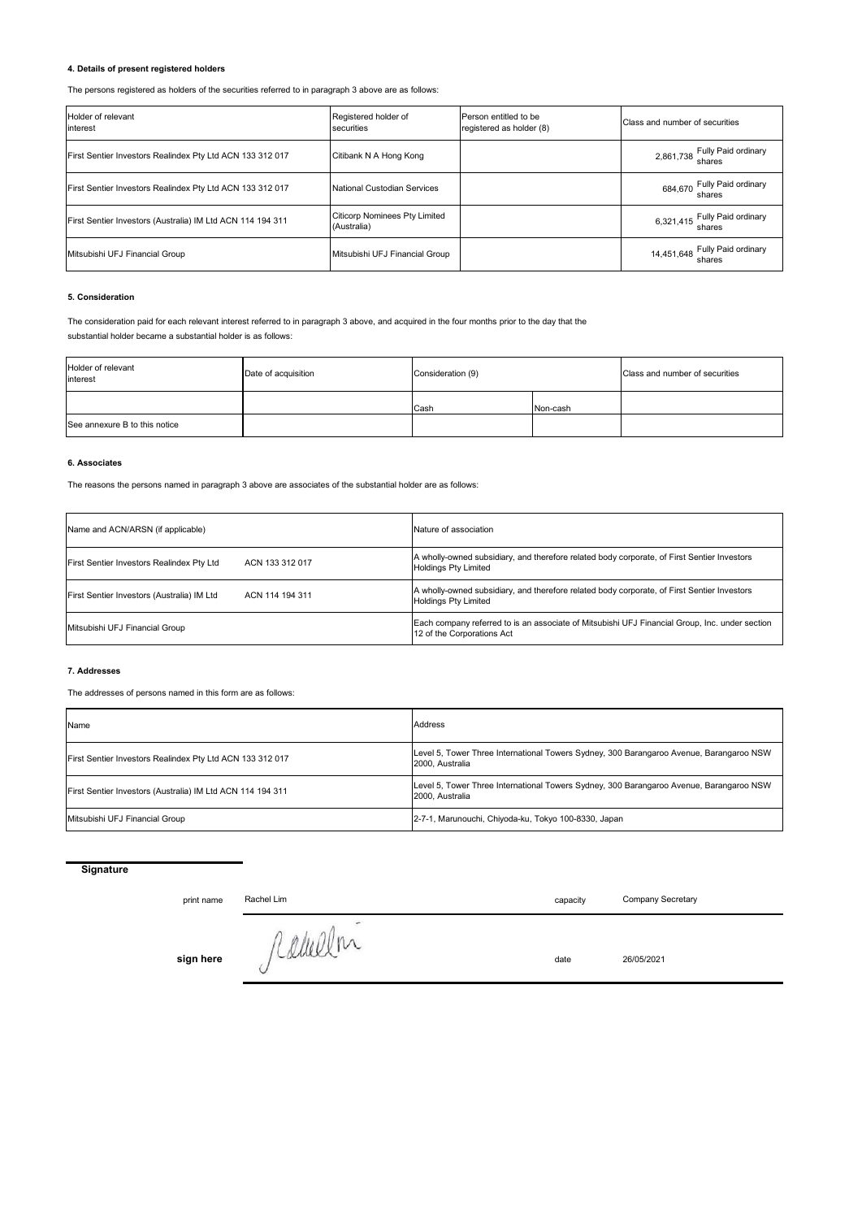## **4. Details of present registered holders**

The persons registered as holders of the securities referred to in paragraph 3 above are as follows:

| Holder of relevant<br>interest                             | Registered holder of<br>securities                  | Person entitled to be<br>registered as holder (8) | Class and number of securities           |
|------------------------------------------------------------|-----------------------------------------------------|---------------------------------------------------|------------------------------------------|
| First Sentier Investors Realindex Pty Ltd ACN 133 312 017  | Citibank N A Hong Kong                              |                                                   | 2,861,738 Fully Paid ordinary<br>shares  |
| First Sentier Investors Realindex Pty Ltd ACN 133 312 017  | <b>National Custodian Services</b>                  |                                                   | 684,670 Fully Paid ordinary<br>shares    |
| First Sentier Investors (Australia) IM Ltd ACN 114 194 311 | <b>Citicorp Nominees Pty Limited</b><br>(Australia) |                                                   | 6,321,415 Fully Paid ordinary<br>shares  |
| Mitsubishi UFJ Financial Group                             | Mitsubishi UFJ Financial Group                      |                                                   | 14,451,648 Fully Paid ordinary<br>shares |

#### **5. Consideration**

The consideration paid for each relevant interest referred to in paragraph 3 above, and acquired in the four months prior to the day that the substantial holder became a substantial holder is as follows:

| Holder of relevant<br>interest | Date of acquisition | Consideration (9) |          | Class and number of securities |
|--------------------------------|---------------------|-------------------|----------|--------------------------------|
|                                |                     | Cash              | Non-cash |                                |
| See annexure B to this notice  |                     |                   |          |                                |

#### **6. Associates**

The reasons the persons named in paragraph 3 above are associates of the substantial holder are as follows:

| Name and ACN/ARSN (if applicable)          | Nature of association                                                                                                        |
|--------------------------------------------|------------------------------------------------------------------------------------------------------------------------------|
| First Sentier Investors Realindex Pty Ltd  | A wholly-owned subsidiary, and therefore related body corporate, of First Sentier Investors                                  |
| ACN 133 312 017                            | <b>Holdings Pty Limited</b>                                                                                                  |
| First Sentier Investors (Australia) IM Ltd | A wholly-owned subsidiary, and therefore related body corporate, of First Sentier Investors                                  |
| ACN 114 194 311                            | <b>Holdings Pty Limited</b>                                                                                                  |
| Mitsubishi UFJ Financial Group             | Each company referred to is an associate of Mitsubishi UFJ Financial Group, Inc. under section<br>12 of the Corporations Act |

#### **7. Addresses**

The addresses of persons named in this form are as follows:

| Name                                                       | Address                                                                                                    |
|------------------------------------------------------------|------------------------------------------------------------------------------------------------------------|
| First Sentier Investors Realindex Pty Ltd ACN 133 312 017  | Level 5, Tower Three International Towers Sydney, 300 Barangaroo Avenue, Barangaroo NSW<br>2000. Australia |
| First Sentier Investors (Australia) IM Ltd ACN 114 194 311 | Level 5, Tower Three International Towers Sydney, 300 Barangaroo Avenue, Barangaroo NSW<br>2000. Australia |
| Mitsubishi UFJ Financial Group                             | 2-7-1, Marunouchi, Chiyoda-ku, Tokyo 100-8330, Japan                                                       |

## **Signature**

print name capacity Rachel Lim

Company Secretary

sign here *fullell* m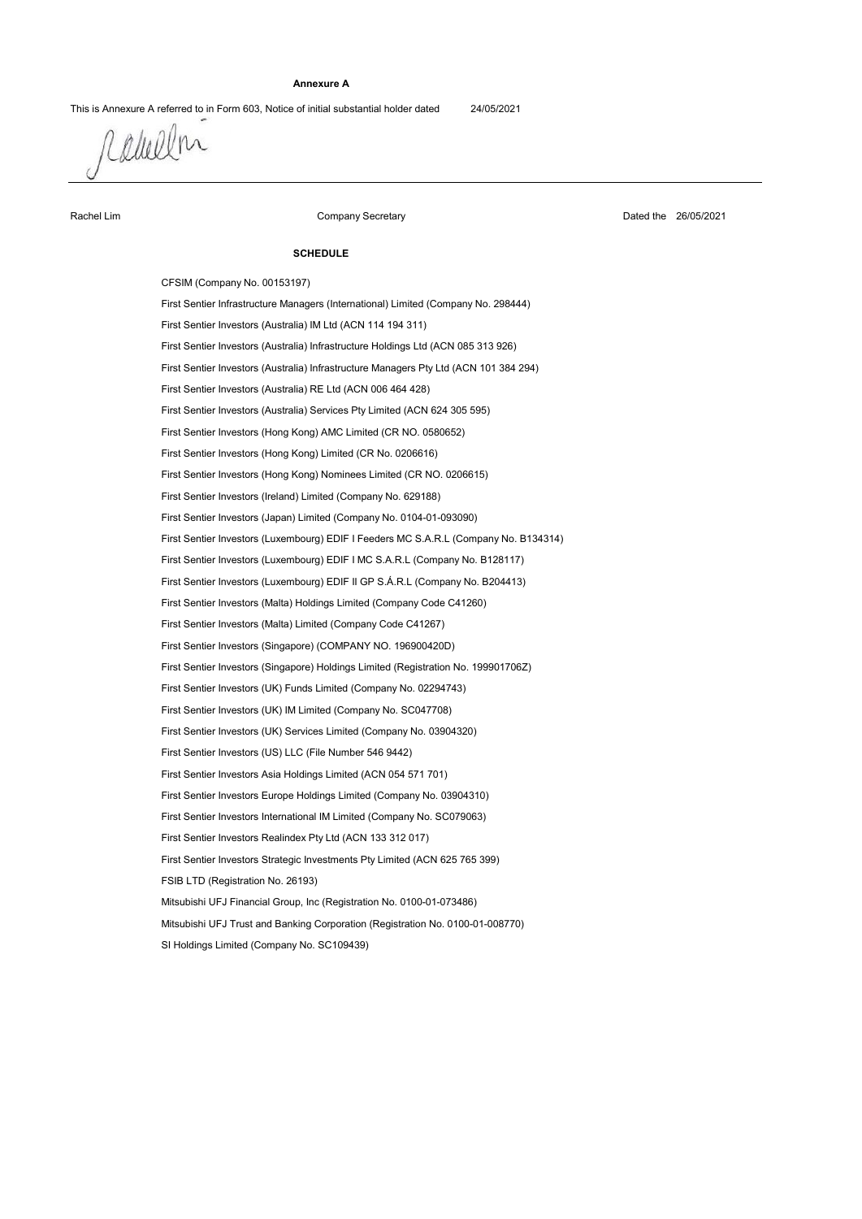### **Annexure A**

This is Annexure A referred to in Form 603, Notice of initial substantial holder dated 24/05/2021

Rabellin

Rachel Lim

Company Secretary

Dated the 26/05/2021

#### **SCHEDULE**

Mitsubishi UFJ Financial Group, Inc (Registration No. 0100-01-073486) First Sentier Investors (Singapore) (COMPANY NO. 196900420D) First Sentier Investors Strategic Investments Pty Limited (ACN 625 765 399) First Sentier Investors International IM Limited (Company No. SC079063) First Sentier Investors Asia Holdings Limited (ACN 054 571 701) SI Holdings Limited (Company No. SC109439) First Sentier Investors (Hong Kong) Limited (CR No. 0206616) First Sentier Investors (Australia) Services Pty Limited (ACN 624 305 595) First Sentier Investors (Ireland) Limited (Company No. 629188) First Sentier Investors (Luxembourg) EDIF I Feeders MC S.A.R.L (Company No. B134314) First Sentier Investors Realindex Pty Ltd (ACN 133 312 017) FSIB LTD (Registration No. 26193) First Sentier Investors Europe Holdings Limited (Company No. 03904310) First Sentier Investors (US) LLC (File Number 546 9442) Mitsubishi UFJ Trust and Banking Corporation (Registration No. 0100-01-008770) First Sentier Investors (Hong Kong) Nominees Limited (CR NO. 0206615) First Sentier Investors (Hong Kong) AMC Limited (CR NO. 0580652) First Sentier Investors (Japan) Limited (Company No. 0104-01-093090) First Sentier Investors (Luxembourg) EDIF I MC S.A.R.L (Company No. B128117) First Sentier Investors (UK) Services Limited (Company No. 03904320) First Sentier Investors (Australia) Infrastructure Managers Pty Ltd (ACN 101 384 294) CFSIM (Company No. 00153197) First Sentier Investors (Australia) IM Ltd (ACN 114 194 311) First Sentier Investors (UK) IM Limited (Company No. SC047708) First Sentier Investors (Luxembourg) EDIF II GP S.Á.R.L (Company No. B204413) First Sentier Investors (Malta) Limited (Company Code C41267) First Sentier Investors (Singapore) Holdings Limited (Registration No. 199901706Z) First Sentier Infrastructure Managers (International) Limited (Company No. 298444) First Sentier Investors (Australia) RE Ltd (ACN 006 464 428) First Sentier Investors (Australia) Infrastructure Holdings Ltd (ACN 085 313 926) First Sentier Investors (UK) Funds Limited (Company No. 02294743) First Sentier Investors (Malta) Holdings Limited (Company Code C41260)